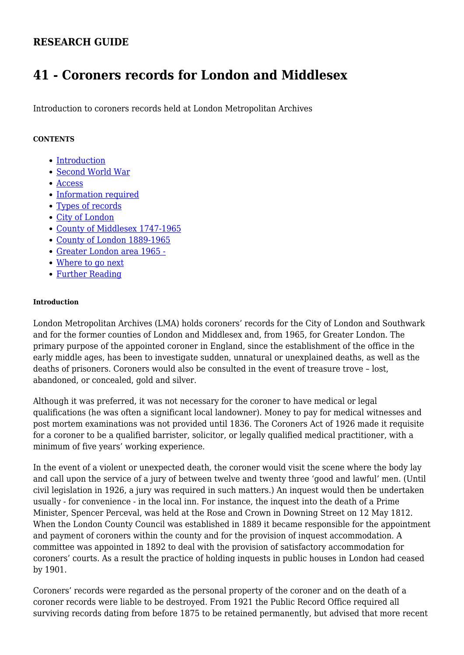# **RESEARCH GUIDE**

# **41 - Coroners records for London and Middlesex**

Introduction to coroners records held at London Metropolitan Archives

## **CONTENTS**

- [Introduction](#page-0-0)
- [Second World War](#page-1-0)
- [Access](#page-1-1)
- [Information required](#page-1-2)
- [Types of records](#page-1-3)
- [City of London](#page-2-0)
- [County of Middlesex 1747-1965](#page-4-0)
- [County of London 1889-1965](#page-6-0)
- [Greater London area 1965 -](#page-7-0)
- [Where to go next](#page-7-1)
- [Further Reading](#page-7-2)

#### <span id="page-0-0"></span>**Introduction**

London Metropolitan Archives (LMA) holds coroners' records for the City of London and Southwark and for the former counties of London and Middlesex and, from 1965, for Greater London. The primary purpose of the appointed coroner in England, since the establishment of the office in the early middle ages, has been to investigate sudden, unnatural or unexplained deaths, as well as the deaths of prisoners. Coroners would also be consulted in the event of treasure trove – lost, abandoned, or concealed, gold and silver.

Although it was preferred, it was not necessary for the coroner to have medical or legal qualifications (he was often a significant local landowner). Money to pay for medical witnesses and post mortem examinations was not provided until 1836. The Coroners Act of 1926 made it requisite for a coroner to be a qualified barrister, solicitor, or legally qualified medical practitioner, with a minimum of five years' working experience.

In the event of a violent or unexpected death, the coroner would visit the scene where the body lay and call upon the service of a jury of between twelve and twenty three 'good and lawful' men. (Until civil legislation in 1926, a jury was required in such matters.) An inquest would then be undertaken usually - for convenience - in the local inn. For instance, the inquest into the death of a Prime Minister, Spencer Perceval, was held at the Rose and Crown in Downing Street on 12 May 1812. When the London County Council was established in 1889 it became responsible for the appointment and payment of coroners within the county and for the provision of inquest accommodation. A committee was appointed in 1892 to deal with the provision of satisfactory accommodation for coroners' courts. As a result the practice of holding inquests in public houses in London had ceased by 1901.

Coroners' records were regarded as the personal property of the coroner and on the death of a coroner records were liable to be destroyed. From 1921 the Public Record Office required all surviving records dating from before 1875 to be retained permanently, but advised that more recent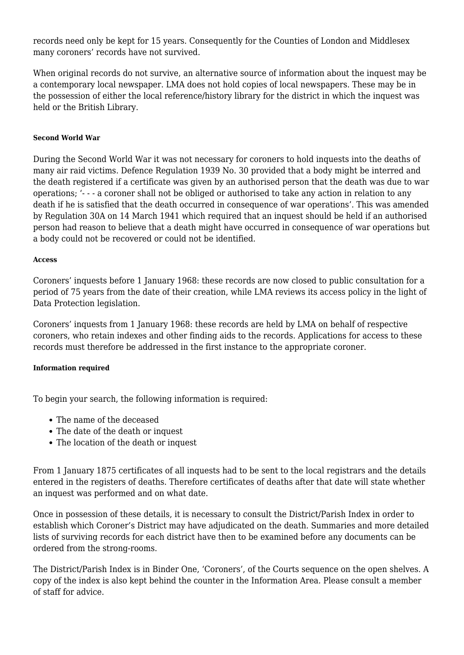records need only be kept for 15 years. Consequently for the Counties of London and Middlesex many coroners' records have not survived.

When original records do not survive, an alternative source of information about the inquest may be a contemporary local newspaper. LMA does not hold copies of local newspapers. These may be in the possession of either the local reference/history library for the district in which the inquest was held or the British Library.

## <span id="page-1-0"></span>**Second World War**

During the Second World War it was not necessary for coroners to hold inquests into the deaths of many air raid victims. Defence Regulation 1939 No. 30 provided that a body might be interred and the death registered if a certificate was given by an authorised person that the death was due to war operations; '- - - a coroner shall not be obliged or authorised to take any action in relation to any death if he is satisfied that the death occurred in consequence of war operations'. This was amended by Regulation 30A on 14 March 1941 which required that an inquest should be held if an authorised person had reason to believe that a death might have occurred in consequence of war operations but a body could not be recovered or could not be identified.

#### <span id="page-1-1"></span>**Access**

Coroners' inquests before 1 January 1968: these records are now closed to public consultation for a period of 75 years from the date of their creation, while LMA reviews its access policy in the light of Data Protection legislation.

Coroners' inquests from 1 January 1968: these records are held by LMA on behalf of respective coroners, who retain indexes and other finding aids to the records. Applications for access to these records must therefore be addressed in the first instance to the appropriate coroner.

#### <span id="page-1-2"></span>**Information required**

To begin your search, the following information is required:

- The name of the deceased
- The date of the death or inquest
- The location of the death or inquest

From 1 January 1875 certificates of all inquests had to be sent to the local registrars and the details entered in the registers of deaths. Therefore certificates of deaths after that date will state whether an inquest was performed and on what date.

Once in possession of these details, it is necessary to consult the District/Parish Index in order to establish which Coroner's District may have adjudicated on the death. Summaries and more detailed lists of surviving records for each district have then to be examined before any documents can be ordered from the strong-rooms.

<span id="page-1-3"></span>The District/Parish Index is in Binder One, 'Coroners', of the Courts sequence on the open shelves. A copy of the index is also kept behind the counter in the Information Area. Please consult a member of staff for advice.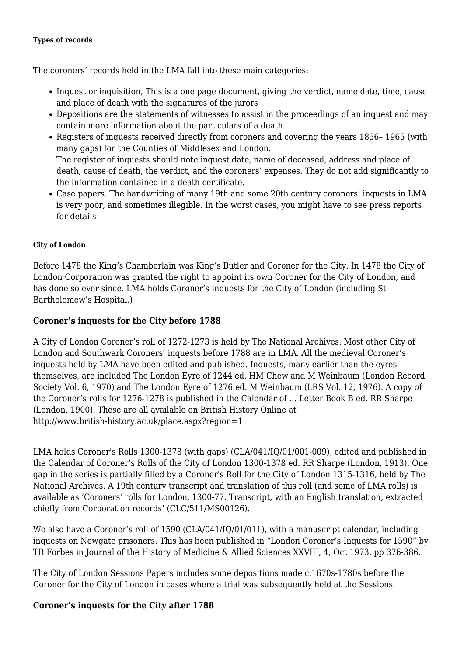#### **Types of records**

The coroners' records held in the LMA fall into these main categories:

- Inquest or inquisition, This is a one page document, giving the verdict, name date, time, cause and place of death with the signatures of the jurors
- Depositions are the statements of witnesses to assist in the proceedings of an inquest and may contain more information about the particulars of a death.
- Registers of inquests received directly from coroners and covering the years 1856-1965 (with many gaps) for the Counties of Middlesex and London. The register of inquests should note inquest date, name of deceased, address and place of death, cause of death, the verdict, and the coroners' expenses. They do not add significantly to the information contained in a death certificate.
- Case papers. The handwriting of many 19th and some 20th century coroners' inquests in LMA is very poor, and sometimes illegible. In the worst cases, you might have to see press reports for details

## <span id="page-2-0"></span>**City of London**

Before 1478 the King's Chamberlain was King's Butler and Coroner for the City. In 1478 the City of London Corporation was granted the right to appoint its own Coroner for the City of London, and has done so ever since. LMA holds Coroner's inquests for the City of London (including St Bartholomew's Hospital.)

## **Coroner's inquests for the City before 1788**

A City of London Coroner's roll of 1272-1273 is held by The National Archives. Most other City of London and Southwark Coroners' inquests before 1788 are in LMA. All the medieval Coroner's inquests held by LMA have been edited and published. Inquests, many earlier than the eyres themselves, are included The London Eyre of 1244 ed. HM Chew and M Weinbaum (London Record Society Vol. 6, 1970) and The London Eyre of 1276 ed. M Weinbaum (LRS Vol. 12, 1976). A copy of the Coroner's rolls for 1276-1278 is published in the Calendar of ... Letter Book B ed. RR Sharpe (London, 1900). These are all available on British History Online at http://www.british-history.ac.uk/place.aspx?region=1

LMA holds Coroner's Rolls 1300-1378 (with gaps) (CLA/041/IQ/01/001-009), edited and published in the Calendar of Coroner's Rolls of the City of London 1300-1378 ed. RR Sharpe (London, 1913). One gap in the series is partially filled by a Coroner's Roll for the City of London 1315-1316, held by The National Archives. A 19th century transcript and translation of this roll (and some of LMA rolls) is available as 'Coroners' rolls for London, 1300-77. Transcript, with an English translation, extracted chiefly from Corporation records' (CLC/511/MS00126).

We also have a Coroner's roll of 1590 (CLA/041/IQ/01/011), with a manuscript calendar, including inquests on Newgate prisoners. This has been published in "London Coroner's Inquests for 1590" by TR Forbes in Journal of the History of Medicine & Allied Sciences XXVIII, 4, Oct 1973, pp 376-386.

The City of London Sessions Papers includes some depositions made c.1670s-1780s before the Coroner for the City of London in cases where a trial was subsequently held at the Sessions.

## **Coroner's inquests for the City after 1788**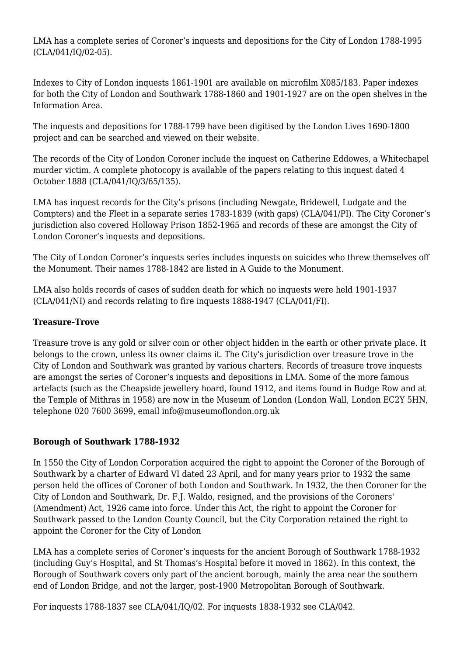LMA has a complete series of Coroner's inquests and depositions for the City of London 1788-1995 (CLA/041/IQ/02-05).

Indexes to City of London inquests 1861-1901 are available on microfilm X085/183. Paper indexes for both the City of London and Southwark 1788-1860 and 1901-1927 are on the open shelves in the Information Area.

The inquests and depositions for 1788-1799 have been digitised by the London Lives 1690-1800 project and can be searched and viewed on their website.

The records of the City of London Coroner include the inquest on Catherine Eddowes, a Whitechapel murder victim. A complete photocopy is available of the papers relating to this inquest dated 4 October 1888 (CLA/041/IQ/3/65/135).

LMA has inquest records for the City's prisons (including Newgate, Bridewell, Ludgate and the Compters) and the Fleet in a separate series 1783-1839 (with gaps) (CLA/041/PI). The City Coroner's jurisdiction also covered Holloway Prison 1852-1965 and records of these are amongst the City of London Coroner's inquests and depositions.

The City of London Coroner's inquests series includes inquests on suicides who threw themselves off the Monument. Their names 1788-1842 are listed in A Guide to the Monument.

LMA also holds records of cases of sudden death for which no inquests were held 1901-1937 (CLA/041/NI) and records relating to fire inquests 1888-1947 (CLA/041/FI).

# **Treasure-Trove**

Treasure trove is any gold or silver coin or other object hidden in the earth or other private place. It belongs to the crown, unless its owner claims it. The City's jurisdiction over treasure trove in the City of London and Southwark was granted by various charters. Records of treasure trove inquests are amongst the series of Coroner's inquests and depositions in LMA. Some of the more famous artefacts (such as the Cheapside jewellery hoard, found 1912, and items found in Budge Row and at the Temple of Mithras in 1958) are now in the Museum of London (London Wall, London EC2Y 5HN, telephone 020 7600 3699, email info@museumoflondon.org.uk

# **Borough of Southwark 1788-1932**

In 1550 the City of London Corporation acquired the right to appoint the Coroner of the Borough of Southwark by a charter of Edward VI dated 23 April, and for many years prior to 1932 the same person held the offices of Coroner of both London and Southwark. In 1932, the then Coroner for the City of London and Southwark, Dr. F.J. Waldo, resigned, and the provisions of the Coroners' (Amendment) Act, 1926 came into force. Under this Act, the right to appoint the Coroner for Southwark passed to the London County Council, but the City Corporation retained the right to appoint the Coroner for the City of London

LMA has a complete series of Coroner's inquests for the ancient Borough of Southwark 1788-1932 (including Guy's Hospital, and St Thomas's Hospital before it moved in 1862). In this context, the Borough of Southwark covers only part of the ancient borough, mainly the area near the southern end of London Bridge, and not the larger, post-1900 Metropolitan Borough of Southwark.

For inquests 1788-1837 see CLA/041/IQ/02. For inquests 1838-1932 see CLA/042.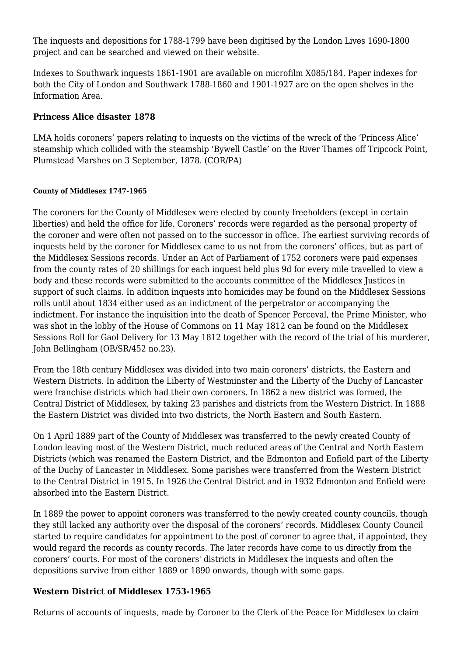The inquests and depositions for 1788-1799 have been digitised by the London Lives 1690-1800 project and can be searched and viewed on their website.

Indexes to Southwark inquests 1861-1901 are available on microfilm X085/184. Paper indexes for both the City of London and Southwark 1788-1860 and 1901-1927 are on the open shelves in the Information Area.

## **Princess Alice disaster 1878**

LMA holds coroners' papers relating to inquests on the victims of the wreck of the 'Princess Alice' steamship which collided with the steamship 'Bywell Castle' on the River Thames off Tripcock Point, Plumstead Marshes on 3 September, 1878. (COR/PA)

## <span id="page-4-0"></span>**County of Middlesex 1747-1965**

The coroners for the County of Middlesex were elected by county freeholders (except in certain liberties) and held the office for life. Coroners' records were regarded as the personal property of the coroner and were often not passed on to the successor in office. The earliest surviving records of inquests held by the coroner for Middlesex came to us not from the coroners' offices, but as part of the Middlesex Sessions records. Under an Act of Parliament of 1752 coroners were paid expenses from the county rates of 20 shillings for each inquest held plus 9d for every mile travelled to view a body and these records were submitted to the accounts committee of the Middlesex Justices in support of such claims. In addition inquests into homicides may be found on the Middlesex Sessions rolls until about 1834 either used as an indictment of the perpetrator or accompanying the indictment. For instance the inquisition into the death of Spencer Perceval, the Prime Minister, who was shot in the lobby of the House of Commons on 11 May 1812 can be found on the Middlesex Sessions Roll for Gaol Delivery for 13 May 1812 together with the record of the trial of his murderer, John Bellingham (OB/SR/452 no.23).

From the 18th century Middlesex was divided into two main coroners' districts, the Eastern and Western Districts. In addition the Liberty of Westminster and the Liberty of the Duchy of Lancaster were franchise districts which had their own coroners. In 1862 a new district was formed, the Central District of Middlesex, by taking 23 parishes and districts from the Western District. In 1888 the Eastern District was divided into two districts, the North Eastern and South Eastern.

On 1 April 1889 part of the County of Middlesex was transferred to the newly created County of London leaving most of the Western District, much reduced areas of the Central and North Eastern Districts (which was renamed the Eastern District, and the Edmonton and Enfield part of the Liberty of the Duchy of Lancaster in Middlesex. Some parishes were transferred from the Western District to the Central District in 1915. In 1926 the Central District and in 1932 Edmonton and Enfield were absorbed into the Eastern District.

In 1889 the power to appoint coroners was transferred to the newly created county councils, though they still lacked any authority over the disposal of the coroners' records. Middlesex County Council started to require candidates for appointment to the post of coroner to agree that, if appointed, they would regard the records as county records. The later records have come to us directly from the coroners' courts. For most of the coroners' districts in Middlesex the inquests and often the depositions survive from either 1889 or 1890 onwards, though with some gaps.

# **Western District of Middlesex 1753-1965**

Returns of accounts of inquests, made by Coroner to the Clerk of the Peace for Middlesex to claim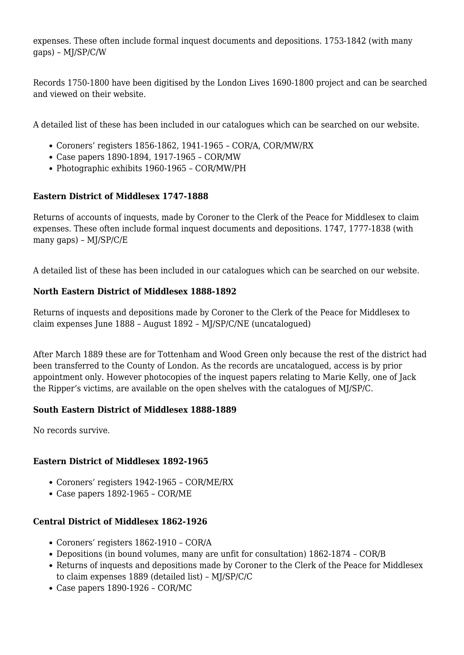expenses. These often include formal inquest documents and depositions. 1753-1842 (with many gaps) – MJ/SP/C/W

Records 1750-1800 have been digitised by the London Lives 1690-1800 project and can be searched and viewed on their website.

A detailed list of these has been included in our catalogues which can be searched on our website.

- Coroners' registers 1856-1862, 1941-1965 COR/A, COR/MW/RX
- Case papers 1890-1894, 1917-1965 COR/MW
- Photographic exhibits 1960-1965 COR/MW/PH

# **Eastern District of Middlesex 1747-1888**

Returns of accounts of inquests, made by Coroner to the Clerk of the Peace for Middlesex to claim expenses. These often include formal inquest documents and depositions. 1747, 1777-1838 (with many gaps) – MJ/SP/C/E

A detailed list of these has been included in our catalogues which can be searched on our website.

# **North Eastern District of Middlesex 1888-1892**

Returns of inquests and depositions made by Coroner to the Clerk of the Peace for Middlesex to claim expenses June 1888 – August 1892 – MJ/SP/C/NE (uncatalogued)

After March 1889 these are for Tottenham and Wood Green only because the rest of the district had been transferred to the County of London. As the records are uncatalogued, access is by prior appointment only. However photocopies of the inquest papers relating to Marie Kelly, one of Jack the Ripper's victims, are available on the open shelves with the catalogues of MJ/SP/C.

# **South Eastern District of Middlesex 1888-1889**

No records survive.

# **Eastern District of Middlesex 1892-1965**

- Coroners' registers 1942-1965 COR/ME/RX
- Case papers 1892-1965 COR/ME

# **Central District of Middlesex 1862-1926**

- Coroners' registers 1862-1910 COR/A
- Depositions (in bound volumes, many are unfit for consultation) 1862-1874 COR/B
- Returns of inquests and depositions made by Coroner to the Clerk of the Peace for Middlesex to claim expenses 1889 (detailed list) – MJ/SP/C/C
- Case papers 1890-1926 COR/MC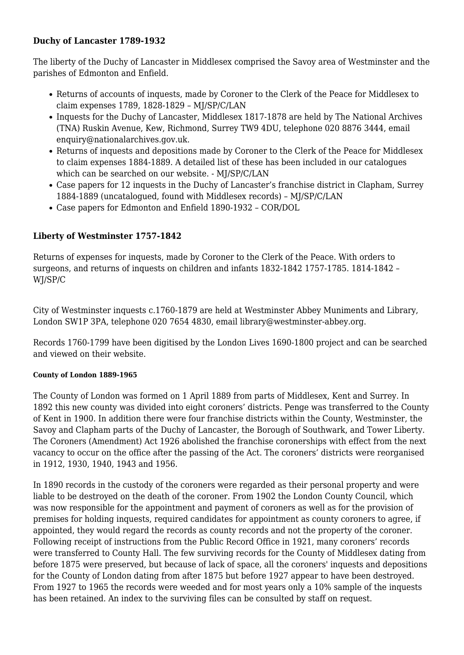## **Duchy of Lancaster 1789-1932**

The liberty of the Duchy of Lancaster in Middlesex comprised the Savoy area of Westminster and the parishes of Edmonton and Enfield.

- Returns of accounts of inquests, made by Coroner to the Clerk of the Peace for Middlesex to claim expenses 1789, 1828-1829 – MJ/SP/C/LAN
- Inquests for the Duchy of Lancaster, Middlesex 1817-1878 are held by The National Archives (TNA) Ruskin Avenue, Kew, Richmond, Surrey TW9 4DU, telephone 020 8876 3444, email enquiry@nationalarchives.gov.uk.
- Returns of inquests and depositions made by Coroner to the Clerk of the Peace for Middlesex to claim expenses 1884-1889. A detailed list of these has been included in our catalogues which can be searched on our website. - MJ/SP/C/LAN
- Case papers for 12 inquests in the Duchy of Lancaster's franchise district in Clapham, Surrey 1884-1889 (uncatalogued, found with Middlesex records) – MJ/SP/C/LAN
- Case papers for Edmonton and Enfield 1890-1932 COR/DOL

# **Liberty of Westminster 1757-1842**

Returns of expenses for inquests, made by Coroner to the Clerk of the Peace. With orders to surgeons, and returns of inquests on children and infants 1832-1842 1757-1785. 1814-1842 – WJ/SP/C

City of Westminster inquests c.1760-1879 are held at Westminster Abbey Muniments and Library, London SW1P 3PA, telephone 020 7654 4830, email library@westminster-abbey.org.

Records 1760-1799 have been digitised by the London Lives 1690-1800 project and can be searched and viewed on their website.

## <span id="page-6-0"></span>**County of London 1889-1965**

The County of London was formed on 1 April 1889 from parts of Middlesex, Kent and Surrey. In 1892 this new county was divided into eight coroners' districts. Penge was transferred to the County of Kent in 1900. In addition there were four franchise districts within the County, Westminster, the Savoy and Clapham parts of the Duchy of Lancaster, the Borough of Southwark, and Tower Liberty. The Coroners (Amendment) Act 1926 abolished the franchise coronerships with effect from the next vacancy to occur on the office after the passing of the Act. The coroners' districts were reorganised in 1912, 1930, 1940, 1943 and 1956.

In 1890 records in the custody of the coroners were regarded as their personal property and were liable to be destroyed on the death of the coroner. From 1902 the London County Council, which was now responsible for the appointment and payment of coroners as well as for the provision of premises for holding inquests, required candidates for appointment as county coroners to agree, if appointed, they would regard the records as county records and not the property of the coroner. Following receipt of instructions from the Public Record Office in 1921, many coroners' records were transferred to County Hall. The few surviving records for the County of Middlesex dating from before 1875 were preserved, but because of lack of space, all the coroners' inquests and depositions for the County of London dating from after 1875 but before 1927 appear to have been destroyed. From 1927 to 1965 the records were weeded and for most years only a 10% sample of the inquests has been retained. An index to the surviving files can be consulted by staff on request.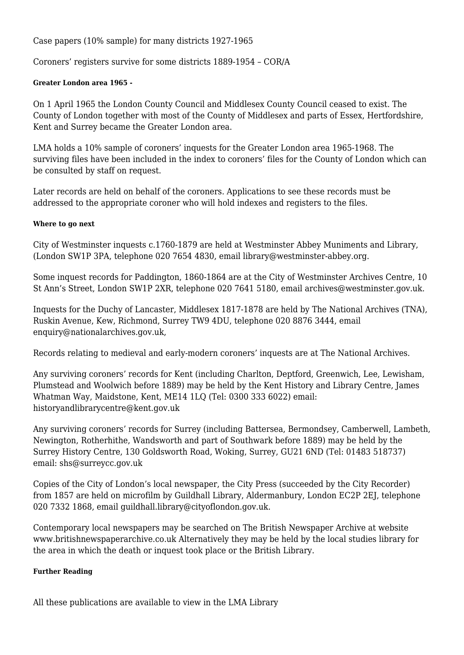Case papers (10% sample) for many districts 1927-1965

Coroners' registers survive for some districts 1889-1954 – COR/A

## <span id="page-7-0"></span>**Greater London area 1965 -**

On 1 April 1965 the London County Council and Middlesex County Council ceased to exist. The County of London together with most of the County of Middlesex and parts of Essex, Hertfordshire, Kent and Surrey became the Greater London area.

LMA holds a 10% sample of coroners' inquests for the Greater London area 1965-1968. The surviving files have been included in the index to coroners' files for the County of London which can be consulted by staff on request.

Later records are held on behalf of the coroners. Applications to see these records must be addressed to the appropriate coroner who will hold indexes and registers to the files.

#### <span id="page-7-1"></span>**Where to go next**

City of Westminster inquests c.1760-1879 are held at Westminster Abbey Muniments and Library, (London SW1P 3PA, telephone 020 7654 4830, email library@westminster-abbey.org.

Some inquest records for Paddington, 1860-1864 are at the City of Westminster Archives Centre, 10 St Ann's Street, London SW1P 2XR, telephone 020 7641 5180, email archives@westminster.gov.uk.

Inquests for the Duchy of Lancaster, Middlesex 1817-1878 are held by The National Archives (TNA), Ruskin Avenue, Kew, Richmond, Surrey TW9 4DU, telephone 020 8876 3444, email enquiry@nationalarchives.gov.uk,

Records relating to medieval and early-modern coroners' inquests are at The National Archives.

Any surviving coroners' records for Kent (including Charlton, Deptford, Greenwich, Lee, Lewisham, Plumstead and Woolwich before 1889) may be held by the Kent History and Library Centre, James Whatman Way, Maidstone, Kent, ME14 1LQ (Tel: 0300 333 6022) email: historyandlibrarycentre@kent.gov.uk

Any surviving coroners' records for Surrey (including Battersea, Bermondsey, Camberwell, Lambeth, Newington, Rotherhithe, Wandsworth and part of Southwark before 1889) may be held by the Surrey History Centre, 130 Goldsworth Road, Woking, Surrey, GU21 6ND (Tel: 01483 518737) email: shs@surreycc.gov.uk

Copies of the City of London's local newspaper, the City Press (succeeded by the City Recorder) from 1857 are held on microfilm by Guildhall Library, Aldermanbury, London EC2P 2EJ, telephone 020 7332 1868, email guildhall.library@cityoflondon.gov.uk.

Contemporary local newspapers may be searched on The British Newspaper Archive at website www.britishnewspaperarchive.co.uk Alternatively they may be held by the local studies library for the area in which the death or inquest took place or the British Library.

#### <span id="page-7-2"></span>**Further Reading**

All these publications are available to view in the LMA Library